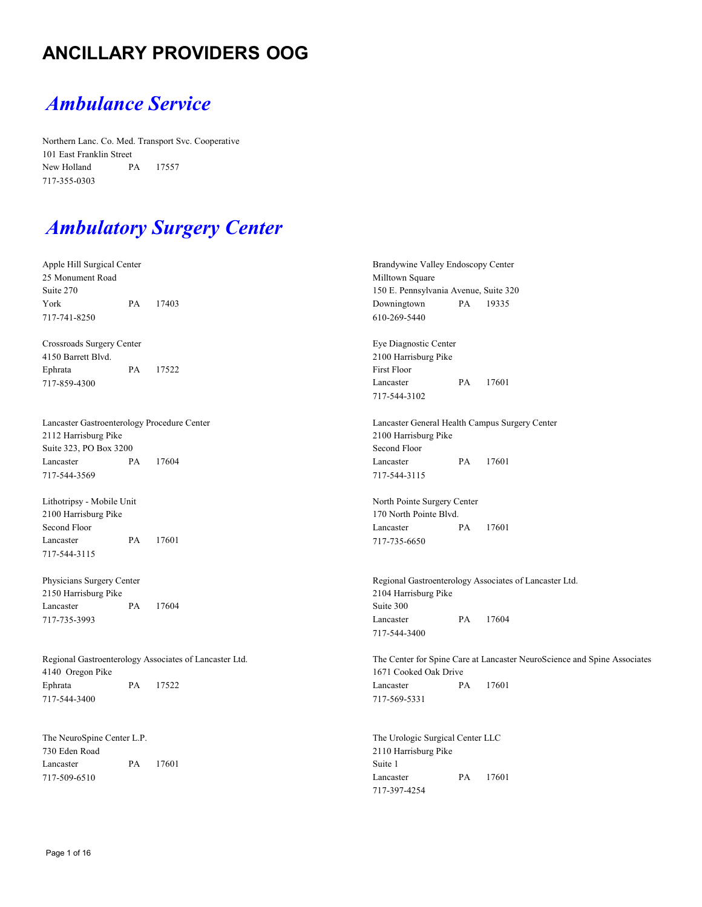### **ANCILLARY PROVIDERS OOG**

### *Ambulance Service*

Northern Lanc. Co. Med. Transport Svc. Cooperative 101 East Franklin Street New Holland PA 17557 717-355-0303

# *Ambulatory Surgery Center*

| Apple Hill Surgical Center<br>25 Monument Road<br>Suite 270                |    |                                                          | Brandywine Valley Endoscopy Center<br>Milltown Square<br>150 E. Pennsylvania Avenue, Suite 320    |    |                                                        |
|----------------------------------------------------------------------------|----|----------------------------------------------------------|---------------------------------------------------------------------------------------------------|----|--------------------------------------------------------|
| York<br>717-741-8250                                                       | PA | 17403                                                    | Downingtown<br>610-269-5440                                                                       | PA | 19335                                                  |
| Crossroads Surgery Center<br>4150 Barrett Blvd.<br>Ephrata                 | PA | 17522                                                    | Eye Diagnostic Center<br>2100 Harrisburg Pike<br><b>First Floor</b>                               |    |                                                        |
| 717-859-4300                                                               |    |                                                          | Lancaster<br>717-544-3102                                                                         | PA | 17601                                                  |
| Lancaster Gastroenterology Procedure Center<br>2112 Harrisburg Pike        |    |                                                          | Lancaster General Health Campus Surgery Center<br>2100 Harrisburg Pike                            |    |                                                        |
| Suite 323, PO Box 3200<br>Lancaster<br>717-544-3569                        | PA | 17604                                                    | Second Floor<br>Lancaster<br>717-544-3115                                                         | PA | 17601                                                  |
| Lithotripsy - Mobile Unit<br>2100 Harrisburg Pike                          |    |                                                          | North Pointe Surgery Center<br>170 North Pointe Blvd.                                             |    |                                                        |
| Second Floor<br>Lancaster<br>717-544-3115                                  | PA | 17601                                                    | Lancaster<br>717-735-6650                                                                         | PA | 17601                                                  |
| Physicians Surgery Center<br>2150 Harrisburg Pike                          |    |                                                          | 2104 Harrisburg Pike                                                                              |    | Regional Gastroenterology Associates of Lancaster Ltd. |
| Lancaster<br>717-735-3993                                                  | PA | 17604                                                    | Suite 300<br>Lancaster<br>717-544-3400                                                            | PA | 17604                                                  |
| Regional Gastroenterology Associates of Lancaster Ltd.<br>4140 Oregon Pike |    |                                                          | The Center for Spine Care at Lancaster NeuroScience and Spine Associates<br>1671 Cooked Oak Drive |    |                                                        |
| Ephrata<br>717-544-3400                                                    | PA | 17522                                                    | Lancaster<br>717-569-5331                                                                         | PA | 17601                                                  |
| The NeuroSpine Center L.P.<br>730 Eden Road                                |    | The Urologic Surgical Center LLC<br>2110 Harrisburg Pike |                                                                                                   |    |                                                        |
| Lancaster<br>717-509-6510                                                  | PA | 17601                                                    | Suite 1<br>Lancaster                                                                              | PA | 17601                                                  |

717-397-4254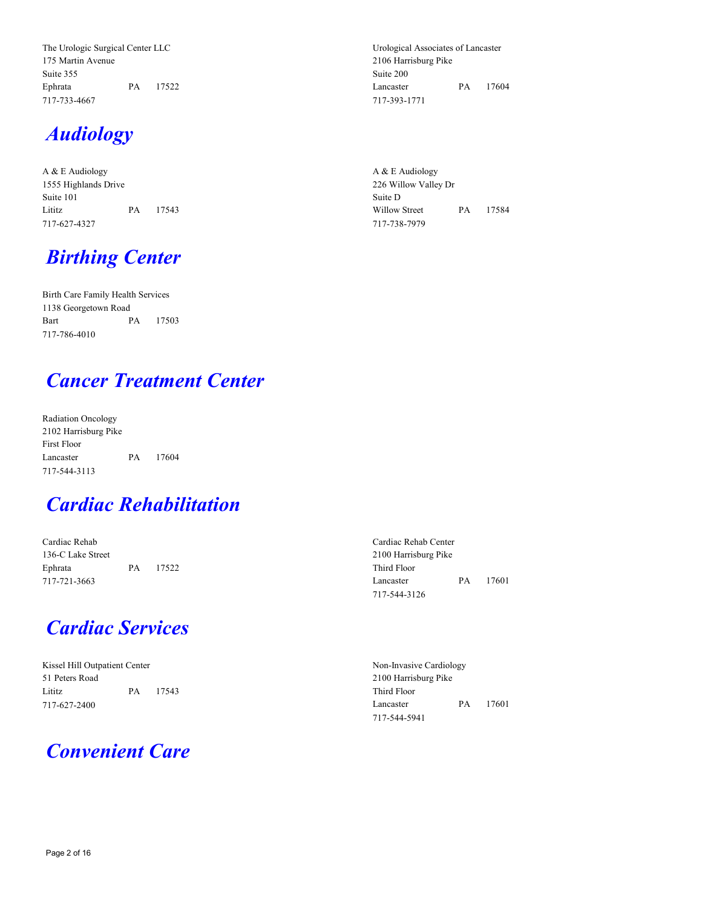The Urologic Surgical Center LLC 175 Martin Avenue Suite 355 Ephrata PA 17522 717-733-4667

## *Audiology*

A & E Audiology 1555 Highlands Drive Suite 101 Lititz PA 17543 717-627-4327

# *Birthing Center*

Birth Care Family Health Services 1138 Georgetown Road Bart PA 17503 717-786-4010

### *Cancer Treatment Center*

Radiation Oncology 2102 Harrisburg Pike First Floor Lancaster PA 17604 717-544-3113

### *Cardiac Rehabilitation*

Cardiac Rehab 136-C Lake Street Ephrata PA 17522 717-721-3663

### *Cardiac Services*

Kissel Hill Outpatient Center 51 Peters Road Lititz PA 17543 717-627-2400

### *Convenient Care*

Urological Associates of Lancaster 2106 Harrisburg Pike Suite 200 Lancaster PA 17604 717-393-1771

A & E Audiology 226 Willow Valley Dr Suite D Willow Street PA 17584 717-738-7979

Cardiac Rehab Center 2100 Harrisburg Pike Third Floor Lancaster PA 17601 717-544-3126

Non-Invasive Cardiology 2100 Harrisburg Pike Third Floor Lancaster PA 17601 717-544-5941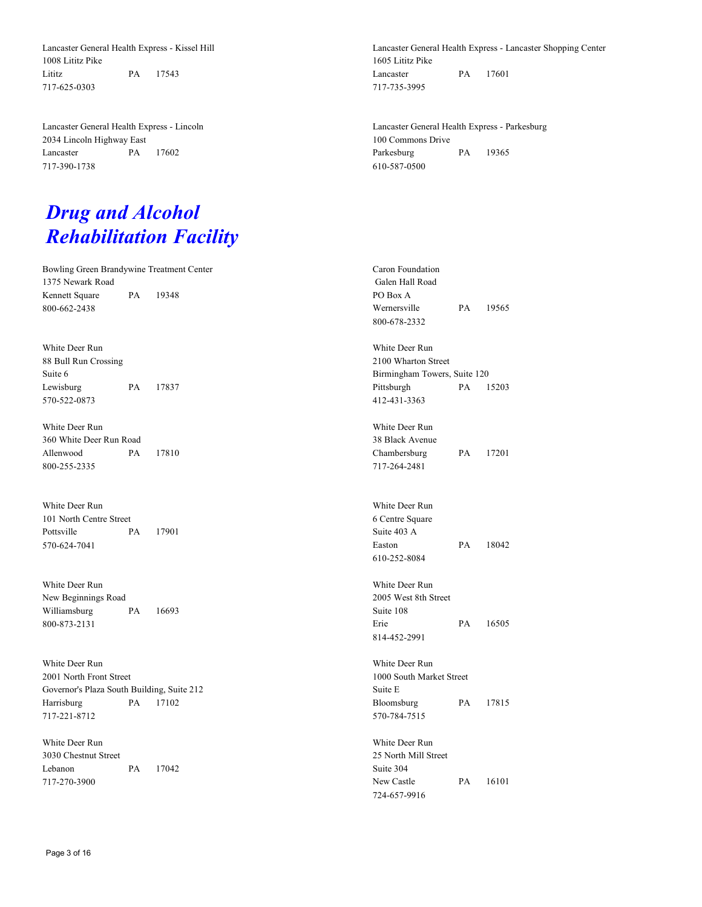Lancaster General Health Express - Kissel Hill 1008 Lititz Pike Lititz PA 17543 717-625-0303

Lancaster General Health Express - Lincoln 2034 Lincoln Highway East Lancaster PA 17602 717-390-1738

## *Drug and Alcohol Rehabilitation Facility*

Bowling Green Brandywine Treatment Center 1375 Newark Road Kennett Square PA 19348 800-662-2438

White Deer Run 88 Bull Run Crossing Suite 6 Lewisburg PA 17837 570-522-0873

White Deer Run 360 White Deer Run Road Allenwood PA 17810 800-255-2335

White Deer Run 101 North Centre Street Pottsville PA 17901 570-624-7041

White Deer Run New Beginnings Road Williamsburg PA 16693 800-873-2131

White Deer Run 2001 North Front Street Governor's Plaza South Building, Suite 212 Harrisburg PA 17102 717-221-8712

White Deer Run 3030 Chestnut Street Lebanon PA 17042 717-270-3900

Lancaster General Health Express - Lancaster Shopping Center 1605 Lititz Pike Lancaster PA 17601 717-735-3995

Lancaster General Health Express - Parkesburg 100 Commons Drive Parkesburg PA 19365 610-587-0500

Caron Foundation Galen Hall Road PO Box A Wernersville PA 19565 800-678-2332 White Deer Run 2100 Wharton Street Birmingham Towers, Suite 120 Pittsburgh PA 15203 412-431-3363 White Deer Run 38 Black Avenue Chambersburg PA 17201 717-264-2481 White Deer Run 6 Centre Square Suite 403 A Easton PA 18042 610-252-8084 White Deer Run 2005 West 8th Street Suite 108 Erie PA 16505 814-452-2991 White Deer Run 1000 South Market Street Suite E Bloomsburg PA 17815 570-784-7515 White Deer Run 25 North Mill Street Suite 304 New Castle PA 16101 724-657-9916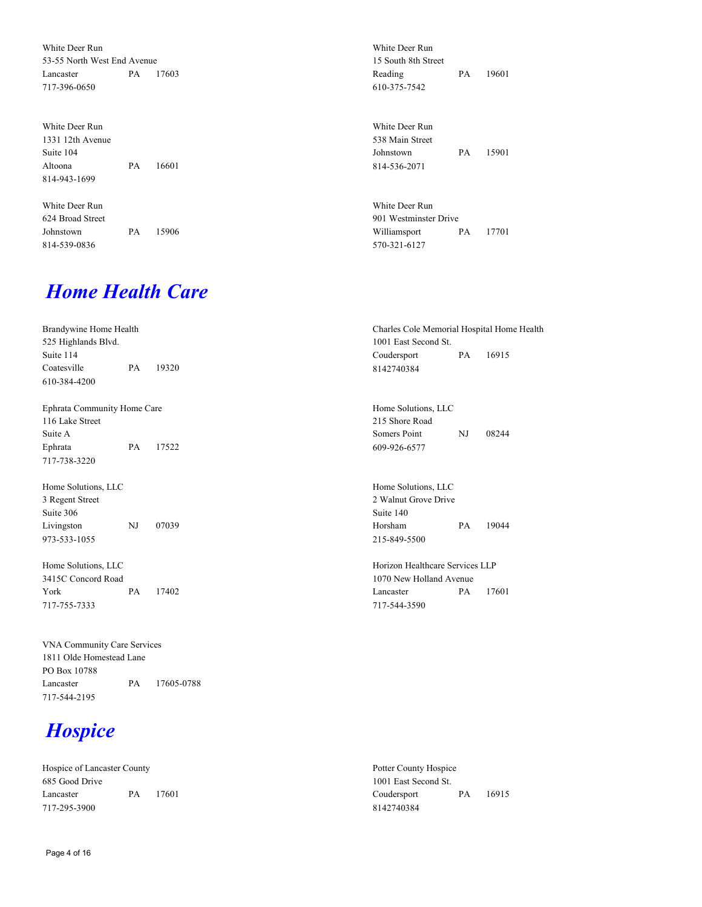White Deer Run 53-55 North West End Avenue Lancaster PA 17603 717-396-0650

| White Deer Run   |          |
|------------------|----------|
| 1331 12th Avenue |          |
| Suite 104        |          |
| Altoona          | PA 16601 |
| 814-943-1699     |          |

White Deer Run 624 Broad Street Johnstown PA 15906 814-539-0836

### *Home Health Care*

Brandywine Home Health 525 Highlands Blvd. Suite 114 Coatesville PA 19320 610-384-4200 Charles Cole Memorial Hospital Home Health 1001 East Second St. Coudersport PA 16915 8142740384 Ephrata Community Home Care 116 Lake Street Suite A Ephrata PA 17522 717-738-3220 Home Solutions, LLC 215 Shore Road Somers Point NJ 08244 609-926-6577 Home Solutions, LLC 3 Regent Street Suite 306 Livingston NJ 07039 973-533-1055 Home Solutions, LLC 2 Walnut Grove Drive Suite 140 Horsham PA 19044 215-849-5500 Home Solutions, LLC 3415C Concord Road York PA 17402 717-755-7333 Horizon Healthcare Services LLP 1070 New Holland Avenue Lancaster PA 17601 717-544-3590

VNA Community Care Services 1811 Olde Homestead Lane PO Box 10788 Lancaster PA 17605-0788 717-544-2195

## *Hospice*

Hospice of Lancaster County 685 Good Drive Lancaster PA 17601 717-295-3900

Potter County Hospice 1001 East Second St. Coudersport PA 16915 8142740384

White Deer Run 15 South 8th Street

610-375-7542

White Deer Run 538 Main Street

814-536-2071

White Deer Run 901 Westminster Drive

570-321-6127

Reading PA 19601

Johnstown PA 15901

Williamsport PA 17701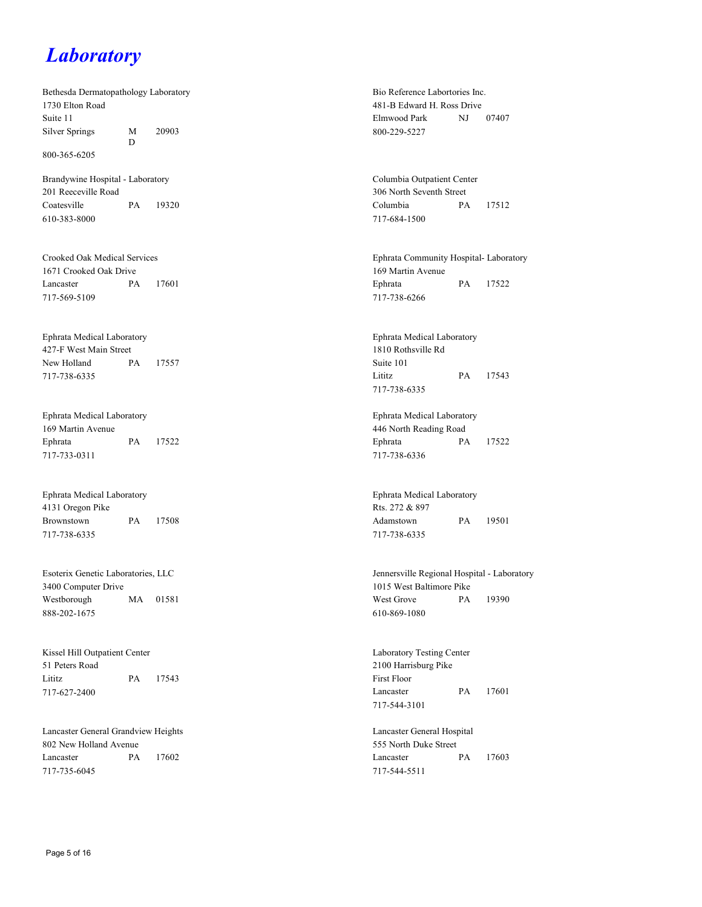### *Laboratory*

Bethesda Dermatopathology Laboratory 1730 Elton Road Suite 11 Silver Springs M D 20903

800-365-6205

Brandywine Hospital - Laboratory 201 Reeceville Road Coatesville PA 19320 610-383-8000

Crooked Oak Medical Services 1671 Crooked Oak Drive Lancaster PA 17601 717-569-5109

Ephrata Medical Laboratory 427-F West Main Street New Holland PA 17557 717-738-6335

Ephrata Medical Laboratory 169 Martin Avenue Ephrata PA 17522 717-733-0311

Ephrata Medical Laboratory 4131 Oregon Pike Brownstown PA 17508 717-738-6335

Esoterix Genetic Laboratories, LLC 3400 Computer Drive Westborough MA 01581 888-202-1675

Kissel Hill Outpatient Center 51 Peters Road Lititz PA 17543 717-627-2400

Lancaster General Grandview Heights 802 New Holland Avenue Lancaster PA 17602 717-735-6045

Bio Reference Labortories Inc. 481-B Edward H. Ross Drive Elmwood Park NJ 07407 800-229-5227

Columbia Outpatient Center 306 North Seventh Street Columbia PA 17512 717-684-1500

Ephrata Community Hospital- Laboratory 169 Martin Avenue Ephrata PA 17522 717-738-6266

Ephrata Medical Laboratory 1810 Rothsville Rd Suite 101 Lititz PA 17543 717-738-6335

Ephrata Medical Laboratory 446 North Reading Road Ephrata PA 17522 717-738-6336

Ephrata Medical Laboratory Rts. 272 & 897 Adamstown PA 19501 717-738-6335

Jennersville Regional Hospital - Laboratory 1015 West Baltimore Pike West Grove PA 19390 610-869-1080

Laboratory Testing Center 2100 Harrisburg Pike First Floor Lancaster PA 17601 717-544-3101

Lancaster General Hospital 555 North Duke Street Lancaster PA 17603 717-544-5511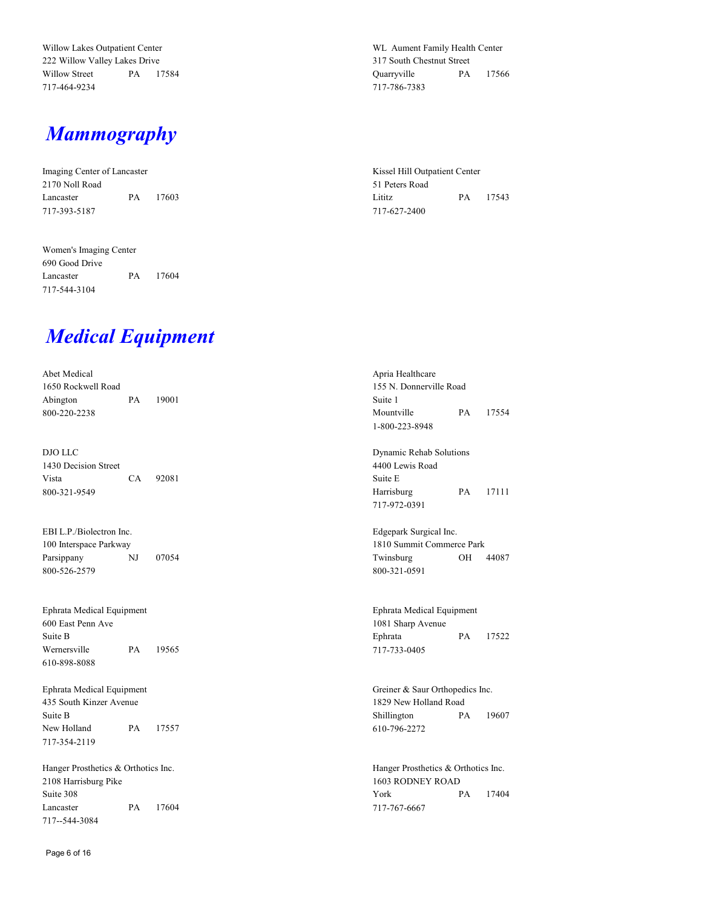Willow Lakes Outpatient Center 222 Willow Valley Lakes Drive Willow Street PA 17584 717-464-9234

#### *Mammography*

Imaging Center of Lancaster 2170 Noll Road Lancaster PA 17603 717-393-5187

Women's Imaging Center 690 Good Drive Lancaster PA 17604 717-544-3104

WL Aument Family Health Center 317 South Chestnut Street Quarryville PA 17566 717-786-7383

Kissel Hill Outpatient Center 51 Peters Road Lititz PA 17543 717-627-2400

### *Medical Equipment*

Abet Medical 1650 Rockwell Road Abington PA 19001 800-220-2238

DJO LLC 1430 Decision Street Vista CA 92081 800-321-9549

EBI L.P./Biolectron Inc. 100 Interspace Parkway Parsippany NJ 07054 800-526-2579

Ephrata Medical Equipment 600 East Penn Ave Suite B Wernersville PA 19565 610-898-8088

Ephrata Medical Equipment 435 South Kinzer Avenue Suite B New Holland PA 17557 717-354-2119

Hanger Prosthetics & Orthotics Inc. 2108 Harrisburg Pike Suite 308 Lancaster PA 17604 717--544-3084

Apria Healthcare 155 N. Donnerville Road Suite 1 Mountville PA 17554 1-800-223-8948

Dynamic Rehab Solutions 4400 Lewis Road Suite E Harrisburg PA 17111 717-972-0391

Edgepark Surgical Inc. 1810 Summit Commerce Park Twinsburg OH 44087 800-321-0591

Ephrata Medical Equipment 1081 Sharp Avenue Ephrata PA 17522 717-733-0405

Greiner & Saur Orthopedics Inc. 1829 New Holland Road Shillington PA 19607 610-796-2272

Hanger Prosthetics & Orthotics Inc. 1603 RODNEY ROAD York PA 17404 717-767-6667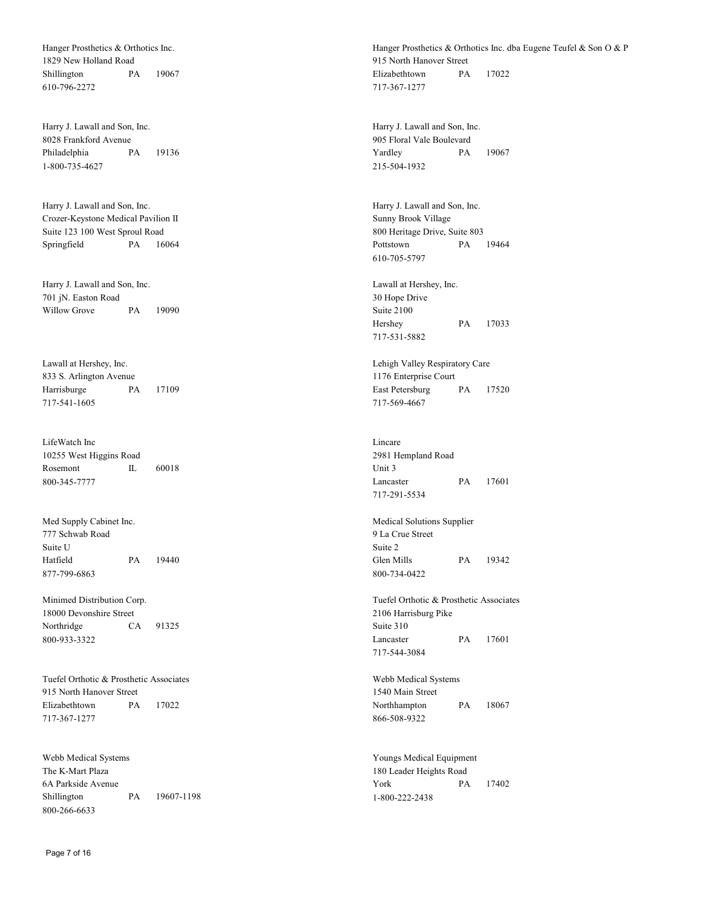Hanger Prosthetics & Orthotics Inc. 1829 New Holland Road Shillington PA 19067 610-796-2272

Harry J. Lawall and Son, Inc. 8028 Frankford Avenue Philadelphia PA 19136 1-800-735-4627

Harry J. Lawall and Son, Inc. Crozer-Keystone Medical Pavilion II Suite 123 100 West Sproul Road Springfield PA 16064

Harry J. Lawall and Son, Inc. 701 jN. Easton Road Willow Grove PA 19090

Lawall at Hershey, Inc. 833 S. Arlington Avenue Harrisburge PA 17109 717-541-1605

LifeWatch Inc 10255 West Higgins Road Rosemont IL 60018 800-345-7777

Med Supply Cabinet Inc. 777 Schwab Road Suite U Hatfield PA 19440 877-799-6863

Minimed Distribution Corp. 18000 Devonshire Street Northridge CA 91325 800-933-3322

Tuefel Orthotic & Prosthetic Associates 915 North Hanover Street Elizabethtown PA 17022 717-367-1277

Webb Medical Systems The K-Mart Plaza 6A Parkside Avenue Shillington PA 19607-1198 800-266-6633

Hanger Prosthetics & Orthotics Inc. dba Eugene Teufel & Son O & P 915 North Hanover Street Elizabethtown PA 17022 717-367-1277

Harry J. Lawall and Son, Inc. 905 Floral Vale Boulevard Yardley PA 19067 215-504-1932

Harry J. Lawall and Son, Inc. Sunny Brook Village 800 Heritage Drive, Suite 803 Pottstown PA 19464 610-705-5797

Lawall at Hershey, Inc. 30 Hope Drive Suite 2100 Hershey PA 17033 717-531-5882

Lehigh Valley Respiratory Care 1176 Enterprise Court East Petersburg PA 17520 717-569-4667

Lincare 2981 Hempland Road Unit 3 Lancaster PA 17601 717-291-5534

Medical Solutions Supplier 9 La Crue Street Suite 2 Glen Mills PA 19342 800-734-0422

Tuefel Orthotic & Prosthetic Associates 2106 Harrisburg Pike Suite 310 Lancaster PA 17601 717-544-3084

Webb Medical Systems 1540 Main Street Northhampton PA 18067 866-508-9322

Youngs Medical Equipment 180 Leader Heights Road York PA 17402 1-800-222-2438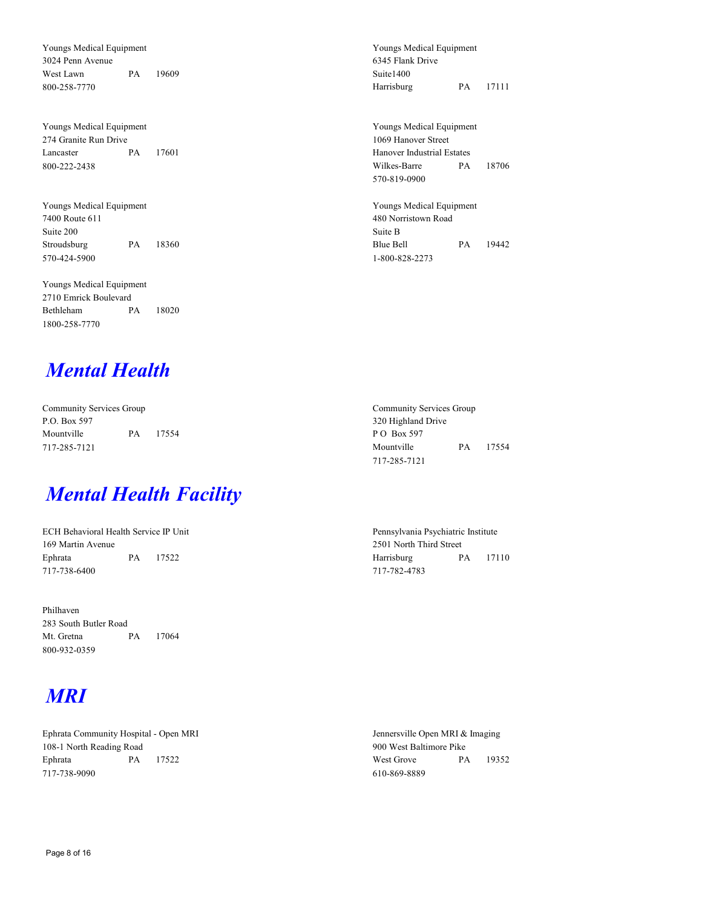Youngs Medical Equipment 3024 Penn Avenue West Lawn PA 19609 800-258-7770

Youngs Medical Equipment 274 Granite Run Drive Lancaster PA 17601 800-222-2438

Youngs Medical Equipment 7400 Route 611 Suite 200 Stroudsburg PA 18360 570-424-5900

Youngs Medical Equipment 2710 Emrick Boulevard Bethleham PA 18020 1800-258-7770

#### *Mental Health*

Community Services Group P.O. Box 597 Mountville PA 17554 717-285-7121

### *Mental Health Facility*

ECH Behavioral Health Service IP Unit 169 Martin Avenue Ephrata PA 17522 717-738-6400

Philhaven 283 South Butler Road Mt. Gretna PA 17064 800-932-0359

## *MRI*

Ephrata Community Hospital - Open MRI 108-1 North Reading Road Ephrata PA 17522 717-738-9090

Youngs Medical Equipment 6345 Flank Drive Suite1400 Harrisburg PA 17111

Youngs Medical Equipment 1069 Hanover Street Hanover Industrial Estates Wilkes-Barre PA 18706 570-819-0900

Youngs Medical Equipment 480 Norristown Road Suite B Blue Bell PA 19442 1-800-828-2273

Community Services Group 320 Highland Drive P O Box 597 Mountville PA 17554 717-285-7121

Pennsylvania Psychiatric Institute 2501 North Third Street Harrisburg PA 17110 717-782-4783

Jennersville Open MRI & Imaging 900 West Baltimore Pike West Grove PA 19352 610-869-8889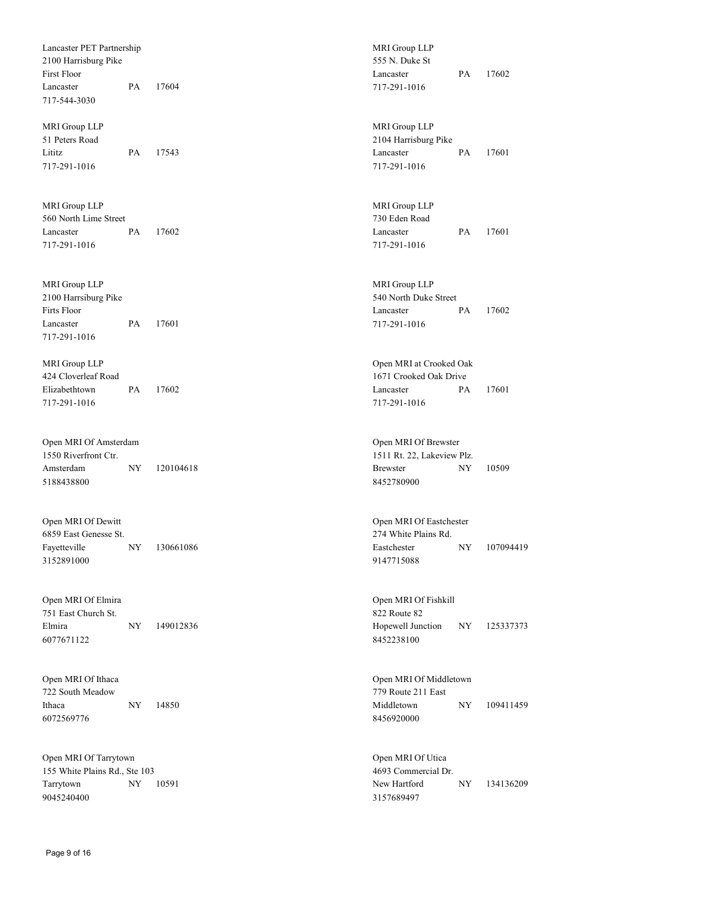Lancaster PET Partnership 2100 Harrisburg Pike First Floor Lancaster PA 17604 717-544-3030

MRI Group LLP 51 Peters Road Lititz PA 17543 717-291-1016

MRI Group LLP 560 North Lime Street Lancaster PA 17602 717-291-1016

MRI Group LLP 2100 Harrsiburg Pike Firts Floor Lancaster PA 17601 717-291-1016

MRI Group LLP 424 Cloverleaf Road Elizabethtown PA 17602 717-291-1016

Open MRI Of Amsterdam 1550 Riverfront Ctr. Amsterdam NY 120104618 5188438800

Open MRI Of Dewitt 6859 East Genesse St. Fayetteville NY 130661086 3152891000

Open MRI Of Elmira 751 East Church St. Elmira NY 149012836 6077671122

Open MRI Of Ithaca 722 South Meadow Ithaca NY 14850 6072569776

Open MRI Of Tarrytown 155 White Plains Rd., Ste 103 Tarrytown NY 10591 9045240400

MRI Group LLP 555 N. Duke St Lancaster PA 17602 717-291-1016

MRI Group LLP 2104 Harrisburg Pike Lancaster PA 17601 717-291-1016

MRI Group LLP 730 Eden Road Lancaster PA 17601 717-291-1016

MRI Group LLP 540 North Duke Street Lancaster PA 17602 717-291-1016

Open MRI at Crooked Oak 1671 Crooked Oak Drive Lancaster PA 17601 717-291-1016

Open MRI Of Brewster 1511 Rt. 22, Lakeview Plz. Brewster NY 10509 8452780900

Open MRI Of Eastchester 274 White Plains Rd. Eastchester NY 107094419 9147715088

Open MRI Of Fishkill 822 Route 82 Hopewell Junction NY 125337373 8452238100

Open MRI Of Middletown 779 Route 211 East Middletown NY 109411459 8456920000

Open MRI Of Utica 4693 Commercial Dr. New Hartford NY 134136209 3157689497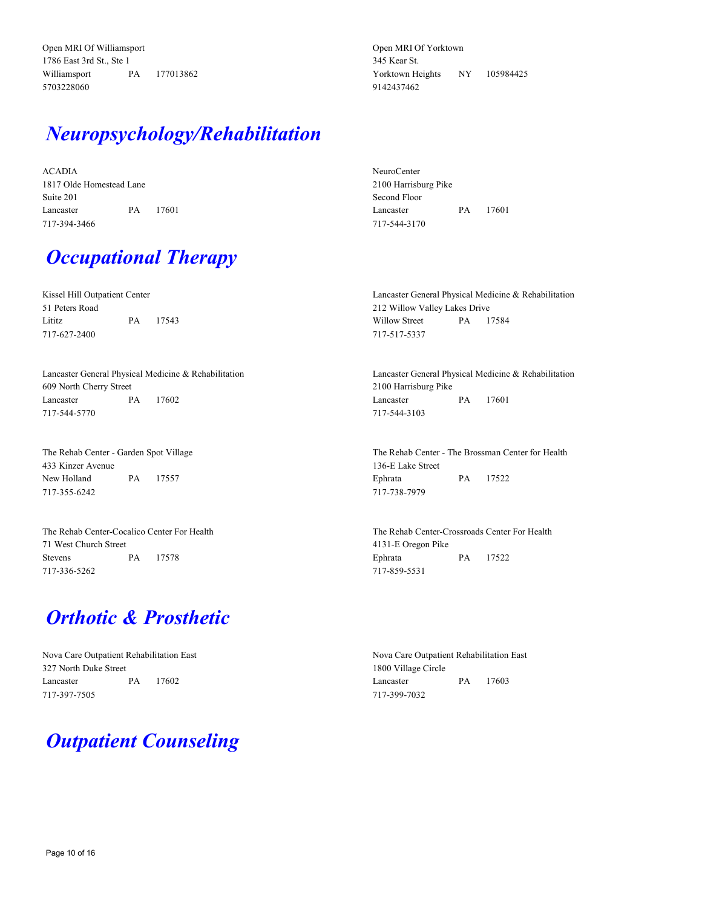Open MRI Of Williamsport 1786 East 3rd St., Ste 1 Williamsport PA 177013862 5703228060

## *Neuropsychology/Rehabilitation*

ACADIA 1817 Olde Homestead Lane Suite 201 Lancaster PA 17601 717-394-3466

*Occupational Therapy*

Kissel Hill Outpatient Center 51 Peters Road Lititz PA 17543 717-627-2400

Lancaster General Physical Medicine & Rehabilitation 609 North Cherry Street Lancaster PA 17602 717-544-5770

The Rehab Center - Garden Spot Village 433 Kinzer Avenue New Holland PA 17557 717-355-6242

The Rehab Center-Cocalico Center For Health 71 West Church Street Stevens PA 17578 717-336-5262

#### *Orthotic & Prosthetic*

Nova Care Outpatient Rehabilitation East 327 North Duke Street Lancaster PA 17602 717-397-7505

### *Outpatient Counseling*

Open MRI Of Yorktown 345 Kear St. Yorktown Heights NY 105984425 9142437462

NeuroCenter 2100 Harrisburg Pike Second Floor Lancaster PA 17601 717-544-3170

Lancaster General Physical Medicine & Rehabilitation 212 Willow Valley Lakes Drive Willow Street PA 17584 717-517-5337

Lancaster General Physical Medicine & Rehabilitation 2100 Harrisburg Pike Lancaster PA 17601 717-544-3103

The Rehab Center - The Brossman Center for Health 136-E Lake Street Ephrata PA 17522 717-738-7979

The Rehab Center-Crossroads Center For Health 4131-E Oregon Pike Ephrata PA 17522 717-859-5531

Nova Care Outpatient Rehabilitation East 1800 Village Circle Lancaster PA 17603 717-399-7032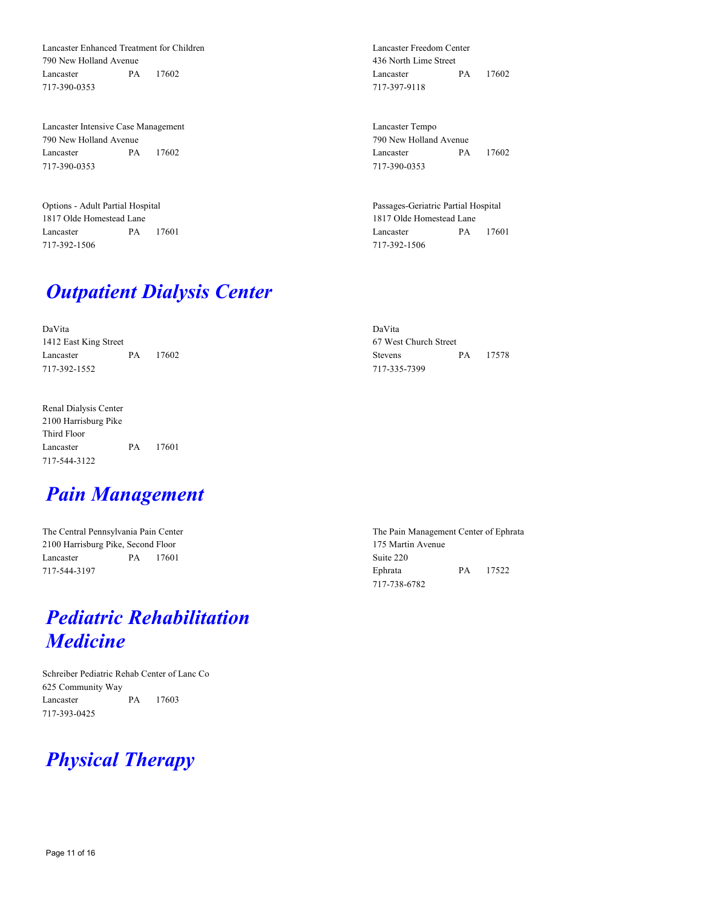Lancaster Enhanced Treatment for Children 790 New Holland Avenue Lancaster PA 17602 717-390-0353

Lancaster Intensive Case Management 790 New Holland Avenue Lancaster PA 17602 717-390-0353

Options - Adult Partial Hospital 1817 Olde Homestead Lane Lancaster PA 17601 717-392-1506

#### *Outpatient Dialysis Center*

DaVita 1412 East King Street Lancaster PA 17602 717-392-1552

Renal Dialysis Center 2100 Harrisburg Pike Third Floor Lancaster PA 17601 717-544-3122

### *Pain Management*

The Central Pennsylvania Pain Center 2100 Harrisburg Pike, Second Floor Lancaster PA 17601 717-544-3197

### *Pediatric Rehabilitation Medicine*

Schreiber Pediatric Rehab Center of Lanc Co 625 Community Way Lancaster PA 17603 717-393-0425

# *Physical Therapy*

Lancaster Freedom Center 436 North Lime Street Lancaster PA 17602 717-397-9118

Lancaster Tempo 790 New Holland Avenue Lancaster PA 17602 717-390-0353

Passages-Geriatric Partial Hospital 1817 Olde Homestead Lane Lancaster PA 17601 717-392-1506

DaVita 67 West Church Street Stevens PA 17578 717-335-7399

The Pain Management Center of Ephrata 175 Martin Avenue Suite 220 Ephrata PA 17522 717-738-6782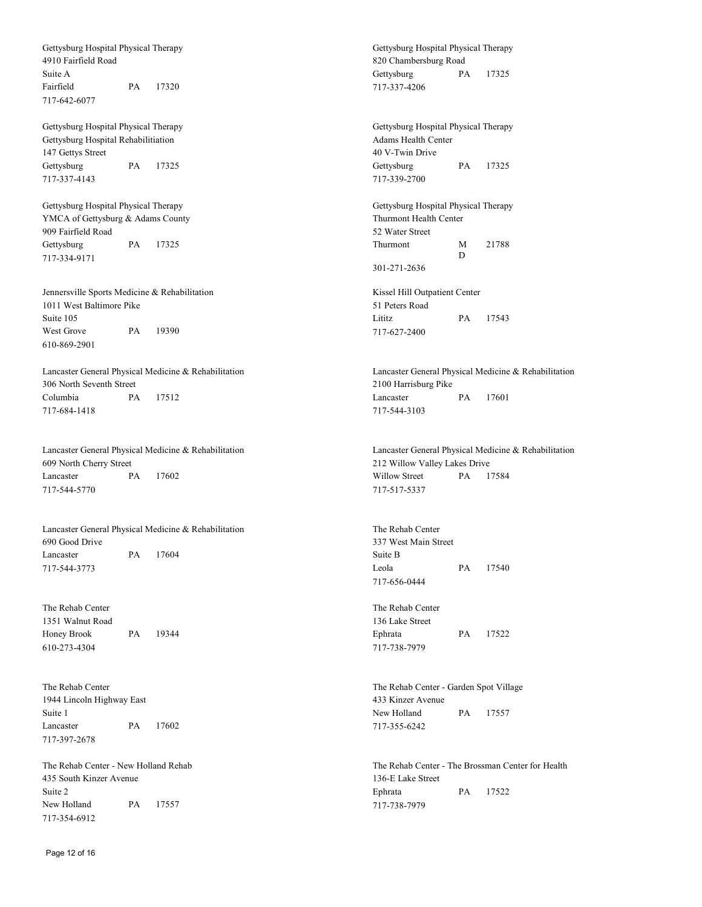Gettysburg Hospital Physical Therapy 4910 Fairfield Road Suite A Fairfield PA 17320 717-642-6077 Gettysburg Hospital Physical Therapy Gettysburg Hospital Rehabilitiation 147 Gettys Street Gettysburg PA 17325 717-337-4143 Gettysburg Hospital Physical Therapy YMCA of Gettysburg & Adams County 909 Fairfield Road Gettysburg PA 17325 717-334-9171 Jennersville Sports Medicine & Rehabilitation 1011 West Baltimore Pike Suite 105 West Grove PA 19390 610-869-2901 Lancaster General Physical Medicine & Rehabilitation 306 North Seventh Street Columbia PA 17512 717-684-1418 Lancaster General Physical Medicine & Rehabilitation 609 North Cherry Street Lancaster PA 17602 717-544-5770 Lancaster General Physical Medicine & Rehabilitation 690 Good Drive Lancaster PA 17604 717-544-3773 The Rehab Center 1351 Walnut Road Honey Brook PA 19344 610-273-4304 The Rehab Center 1944 Lincoln Highway East Suite 1 Lancaster PA 17602

The Rehab Center - New Holland Rehab 435 South Kinzer Avenue Suite 2 New Holland PA 17557 717-354-6912

Gettysburg Hospital Physical Therapy Adams Health Center 40 V-Twin Drive Gettysburg PA 17325 717-339-2700

Gettysburg Hospital Physical Therapy

Gettysburg PA 17325

820 Chambersburg Road

717-337-4206

Gettysburg Hospital Physical Therapy Thurmont Health Center 52 Water Street Thurmont M D 21788 301-271-2636

Kissel Hill Outpatient Center 51 Peters Road Lititz PA 17543 717-627-2400

Lancaster General Physical Medicine & Rehabilitation 2100 Harrisburg Pike Lancaster PA 17601 717-544-3103

Lancaster General Physical Medicine & Rehabilitation 212 Willow Valley Lakes Drive Willow Street PA 17584 717-517-5337

The Rehab Center 337 West Main Street Suite B Leola PA 17540 717-656-0444

The Rehab Center 136 Lake Street Ephrata PA 17522 717-738-7979

The Rehab Center - Garden Spot Village 433 Kinzer Avenue New Holland PA 17557 717-355-6242

The Rehab Center - The Brossman Center for Health 136-E Lake Street Ephrata PA 17522 717-738-7979

717-397-2678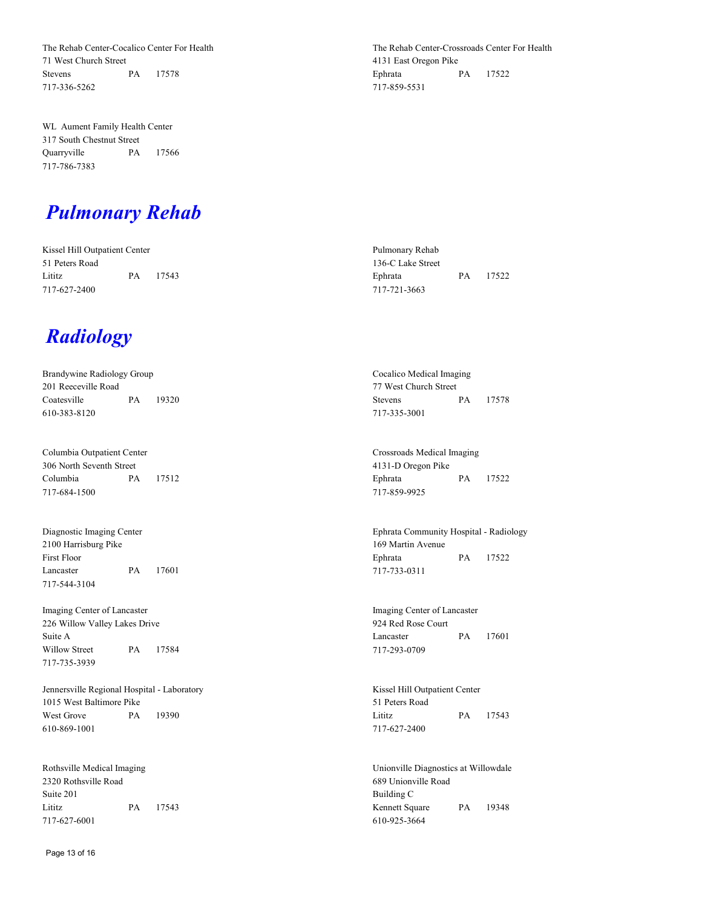The Rehab Center-Cocalico Center For Health 71 West Church Street Stevens PA 17578 717-336-5262

WL Aument Family Health Center 317 South Chestnut Street Quarryville PA 17566 717-786-7383

The Rehab Center-Crossroads Center For Health 4131 East Oregon Pike Ephrata PA 17522 717-859-5531

#### *Pulmonary Rehab*

Kissel Hill Outpatient Center 51 Peters Road Lititz PA 17543 717-627-2400

#### *Radiology*

| Brandywine Radiology Group |  |          |  |  |  |  |  |
|----------------------------|--|----------|--|--|--|--|--|
| 201 Reeceville Road        |  |          |  |  |  |  |  |
| Coatesville                |  | PA 19320 |  |  |  |  |  |
| 610-383-8120               |  |          |  |  |  |  |  |

Columbia Outpatient Center 306 North Seventh Street Columbia PA 17512 717-684-1500

Diagnostic Imaging Center 2100 Harrisburg Pike First Floor Lancaster PA 17601 717-544-3104

Imaging Center of Lancaster 226 Willow Valley Lakes Drive Suite A Willow Street PA 17584 717-735-3939

Jennersville Regional Hospital - Laboratory 1015 West Baltimore Pike West Grove PA 19390 610-869-1001

Rothsville Medical Imaging 2320 Rothsville Road Suite 201 Lititz PA 17543 717-627-6001

Pulmonary Rehab 136-C Lake Street Ephrata PA 17522 717-721-3663

Cocalico Medical Imaging 77 West Church Street Stevens PA 17578 717-335-3001

Crossroads Medical Imaging 4131-D Oregon Pike Ephrata PA 17522 717-859-9925

Ephrata Community Hospital - Radiology 169 Martin Avenue Ephrata PA 17522 717-733-0311

Imaging Center of Lancaster 924 Red Rose Court Lancaster PA 17601 717-293-0709

Kissel Hill Outpatient Center 51 Peters Road Lititz PA 17543 717-627-2400

Unionville Diagnostics at Willowdale 689 Unionville Road Building C Kennett Square PA 19348 610-925-3664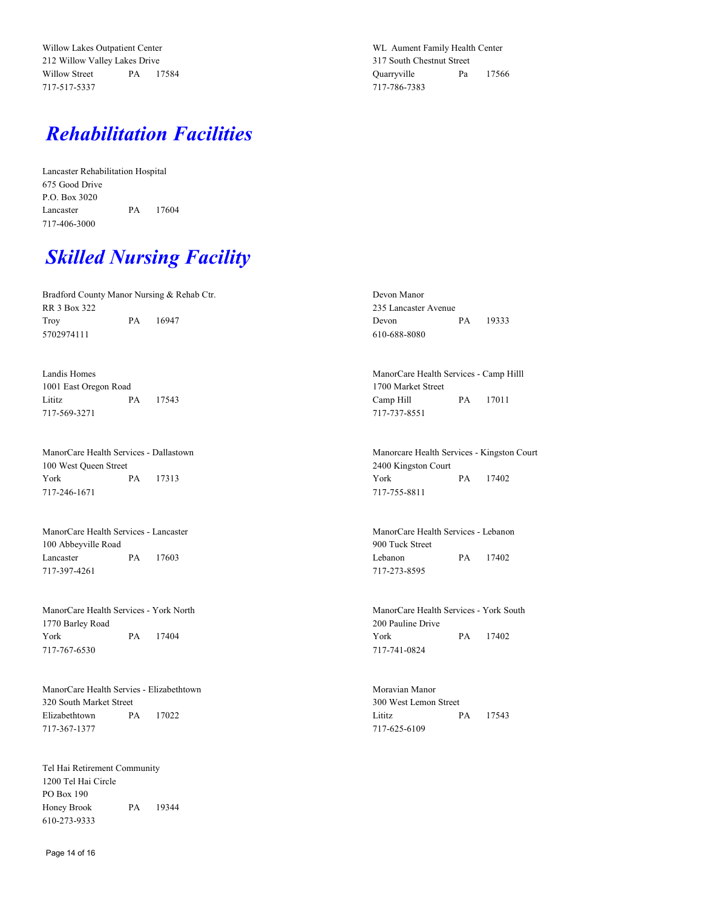Willow Lakes Outpatient Center 212 Willow Valley Lakes Drive Willow Street PA 17584 717-517-5337

WL Aument Family Health Center 317 South Chestnut Street Quarryville Pa 17566 717-786-7383

### *Rehabilitation Facilities*

Lancaster Rehabilitation Hospital 675 Good Drive P.O. Box 3020 Lancaster PA 17604 717-406-3000

### *Skilled Nursing Facility*

Bradford County Manor Nursing & Rehab Ctr. RR 3 Box 322 Troy PA 16947 5702974111

Landis Homes 1001 East Oregon Road Lititz PA 17543 717-569-3271

ManorCare Health Services - Dallastown 100 West Queen Street York PA 17313 717-246-1671

ManorCare Health Services - Lancaster 100 Abbeyville Road Lancaster PA 17603 717-397-4261

ManorCare Health Services - York North 1770 Barley Road York PA 17404 717-767-6530

ManorCare Health Servies - Elizabethtown 320 South Market Street Elizabethtown PA 17022 717-367-1377

Tel Hai Retirement Community 1200 Tel Hai Circle PO Box 190 Honey Brook PA 19344 610-273-9333

Devon Manor 235 Lancaster Avenue Devon PA 19333 610-688-8080

ManorCare Health Services - Camp Hilll 1700 Market Street Camp Hill PA 17011 717-737-8551

Manorcare Health Services - Kingston Court 2400 Kingston Court York PA 17402 717-755-8811

ManorCare Health Services - Lebanon 900 Tuck Street Lebanon PA 17402 717-273-8595

ManorCare Health Services - York South 200 Pauline Drive York PA 17402 717-741-0824

Moravian Manor 300 West Lemon Street Lititz PA 17543 717-625-6109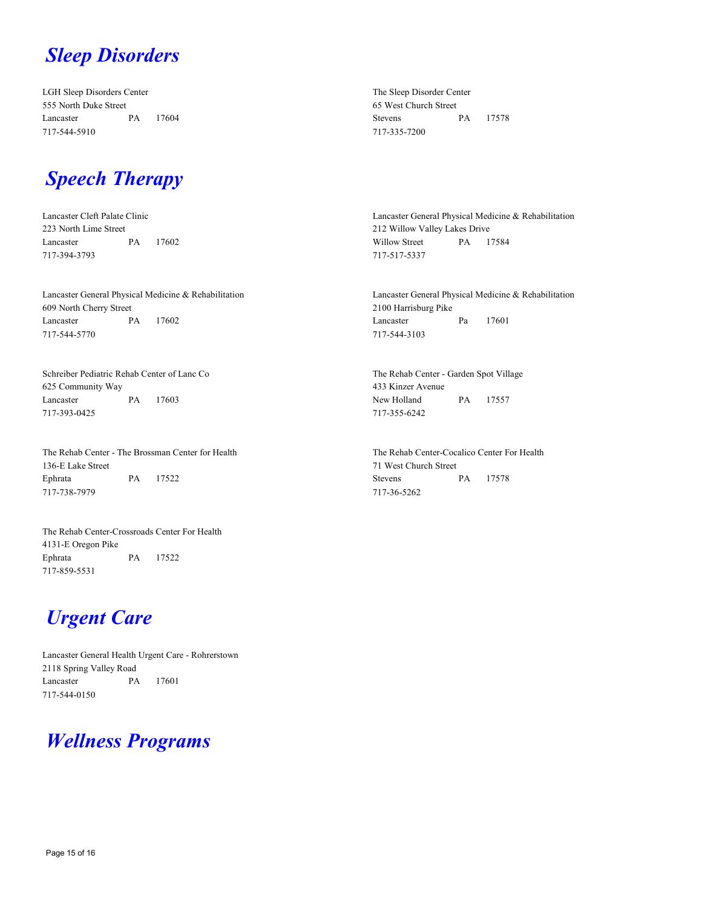### *Sleep Disorders*

LGH Sleep Disorders Center 555 North Duke Street Lancaster PA 17604 717-544-5910

The Sleep Disorder Center 65 West Church Street Stevens PA 17578 717-335-7200

#### *Speech Therapy*

Lancaster Cleft Palate Clinic 223 North Lime Street Lancaster PA 17602 717-394-3793

Lancaster General Physical Medicine & Rehabilitation 609 North Cherry Street Lancaster PA 17602 717-544-5770

Schreiber Pediatric Rehab Center of Lanc Co 625 Community Way Lancaster PA 17603 717-393-0425

The Rehab Center - The Brossman Center for Health 136-E Lake Street Ephrata PA 17522 717-738-7979

The Rehab Center-Crossroads Center For Health 4131-E Oregon Pike Ephrata PA 17522 717-859-5531

## *Urgent Care*

Lancaster General Health Urgent Care - Rohrerstown 2118 Spring Valley Road Lancaster PA 17601 717-544-0150

### *Wellness Programs*

Lancaster General Physical Medicine & Rehabilitation 212 Willow Valley Lakes Drive Willow Street PA 17584 717-517-5337

Lancaster General Physical Medicine & Rehabilitation 2100 Harrisburg Pike Lancaster Pa 17601 717-544-3103

The Rehab Center - Garden Spot Village 433 Kinzer Avenue New Holland PA 17557 717-355-6242

The Rehab Center-Cocalico Center For Health 71 West Church Street Stevens PA 17578 717-36-5262